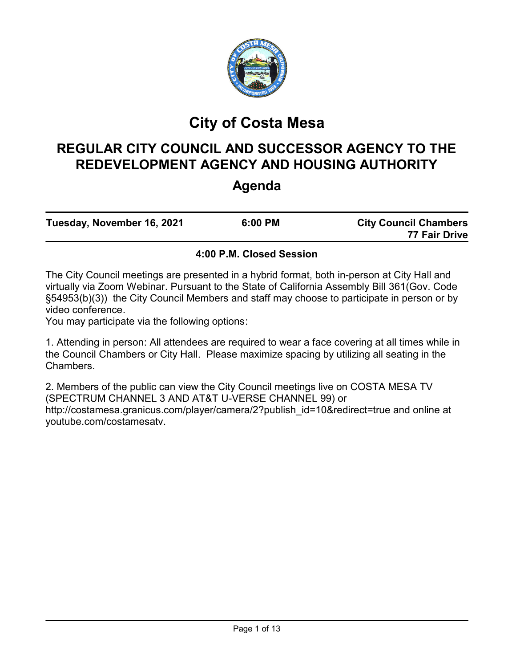

# **City of Costa Mesa**

# **REGULAR CITY COUNCIL AND SUCCESSOR AGENCY TO THE REDEVELOPMENT AGENCY AND HOUSING AUTHORITY**

## **Agenda**

| Tuesday, November 16, 2021 | 6:00 PM | <b>City Council Chambers</b> |
|----------------------------|---------|------------------------------|
|                            |         | 77 Fair Drive                |

## **4:00 P.M. Closed Session**

The City Council meetings are presented in a hybrid format, both in-person at City Hall and virtually via Zoom Webinar. Pursuant to the State of California Assembly Bill 361(Gov. Code §54953(b)(3)) the City Council Members and staff may choose to participate in person or by video conference.

You may participate via the following options:

1. Attending in person: All attendees are required to wear a face covering at all times while in the Council Chambers or City Hall. Please maximize spacing by utilizing all seating in the Chambers.

2. Members of the public can view the City Council meetings live on COSTA MESA TV (SPECTRUM CHANNEL 3 AND AT&T U-VERSE CHANNEL 99) or http://costamesa.granicus.com/player/camera/2?publish\_id=10&redirect=true and online at youtube.com/costamesatv.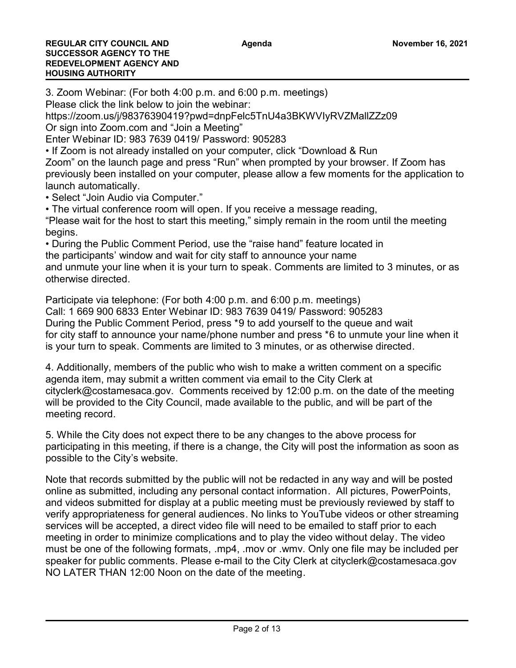3. Zoom Webinar: (For both 4:00 p.m. and 6:00 p.m. meetings) Please click the link below to join the webinar: https://zoom.us/j/98376390419?pwd=dnpFelc5TnU4a3BKWVIyRVZMallZZz09 Or sign into Zoom.com and "Join a Meeting" Enter Webinar ID: 983 7639 0419/ Password: 905283 • If Zoom is not already installed on your computer, click "Download & Run Zoom" on the launch page and press "Run" when prompted by your browser. If Zoom has previously been installed on your computer, please allow a few moments for the application to launch automatically. • Select "Join Audio via Computer." • The virtual conference room will open. If you receive a message reading, "Please wait for the host to start this meeting," simply remain in the room until the meeting begins. • During the Public Comment Period, use the "raise hand" feature located in the participants' window and wait for city staff to announce your name and unmute your line when it is your turn to speak. Comments are limited to 3 minutes, or as otherwise directed. Participate via telephone: (For both 4:00 p.m. and 6:00 p.m. meetings)

Call: 1 669 900 6833 Enter Webinar ID: 983 7639 0419/ Password: 905283 During the Public Comment Period, press \*9 to add yourself to the queue and wait for city staff to announce your name/phone number and press \*6 to unmute your line when it is your turn to speak. Comments are limited to 3 minutes, or as otherwise directed.

4. Additionally, members of the public who wish to make a written comment on a specific agenda item, may submit a written comment via email to the City Clerk at cityclerk@costamesaca.gov. Comments received by 12:00 p.m. on the date of the meeting will be provided to the City Council, made available to the public, and will be part of the meeting record.

5. While the City does not expect there to be any changes to the above process for participating in this meeting, if there is a change, the City will post the information as soon as possible to the City's website.

Note that records submitted by the public will not be redacted in any way and will be posted online as submitted, including any personal contact information. All pictures, PowerPoints, and videos submitted for display at a public meeting must be previously reviewed by staff to verify appropriateness for general audiences. No links to YouTube videos or other streaming services will be accepted, a direct video file will need to be emailed to staff prior to each meeting in order to minimize complications and to play the video without delay. The video must be one of the following formats, .mp4, .mov or .wmv. Only one file may be included per speaker for public comments. Please e-mail to the City Clerk at cityclerk@costamesaca.gov NO LATER THAN 12:00 Noon on the date of the meeting.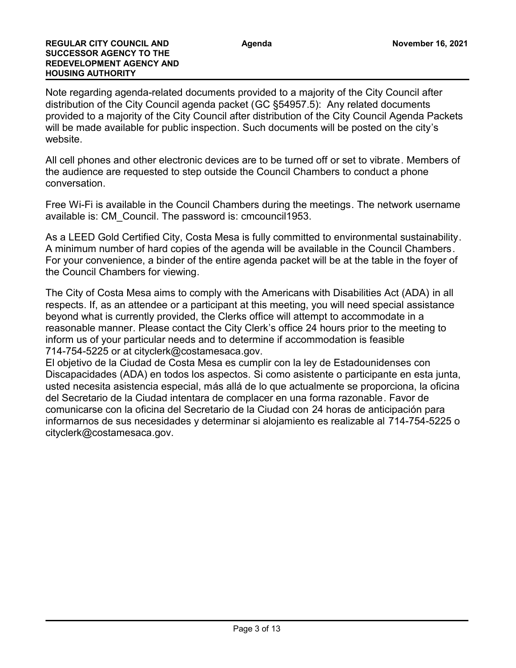Note regarding agenda-related documents provided to a majority of the City Council after distribution of the City Council agenda packet (GC §54957.5): Any related documents provided to a majority of the City Council after distribution of the City Council Agenda Packets will be made available for public inspection. Such documents will be posted on the city's website.

All cell phones and other electronic devices are to be turned off or set to vibrate. Members of the audience are requested to step outside the Council Chambers to conduct a phone conversation.

Free Wi-Fi is available in the Council Chambers during the meetings. The network username available is: CM\_Council. The password is: cmcouncil1953.

As a LEED Gold Certified City, Costa Mesa is fully committed to environmental sustainability. A minimum number of hard copies of the agenda will be available in the Council Chambers. For your convenience, a binder of the entire agenda packet will be at the table in the foyer of the Council Chambers for viewing.

The City of Costa Mesa aims to comply with the Americans with Disabilities Act (ADA) in all respects. If, as an attendee or a participant at this meeting, you will need special assistance beyond what is currently provided, the Clerks office will attempt to accommodate in a reasonable manner. Please contact the City Clerk's office 24 hours prior to the meeting to inform us of your particular needs and to determine if accommodation is feasible 714-754-5225 or at cityclerk@costamesaca.gov.

El objetivo de la Ciudad de Costa Mesa es cumplir con la ley de Estadounidenses con Discapacidades (ADA) en todos los aspectos. Si como asistente o participante en esta junta, usted necesita asistencia especial, más allá de lo que actualmente se proporciona, la oficina del Secretario de la Ciudad intentara de complacer en una forma razonable. Favor de comunicarse con la oficina del Secretario de la Ciudad con 24 horas de anticipación para informarnos de sus necesidades y determinar si alojamiento es realizable al 714-754-5225 o cityclerk@costamesaca.gov.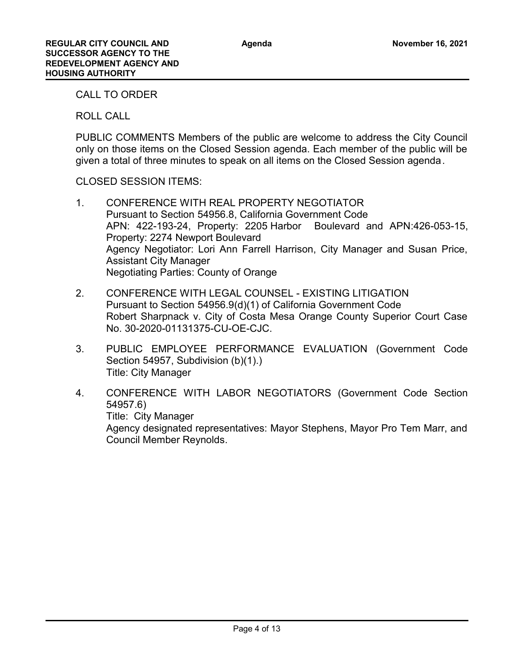CALL TO ORDER

ROLL CALL

PUBLIC COMMENTS Members of the public are welcome to address the City Council only on those items on the Closed Session agenda. Each member of the public will be given a total of three minutes to speak on all items on the Closed Session agenda.

CLOSED SESSION ITEMS:

- 1. CONFERENCE WITH REAL PROPERTY NEGOTIATOR Pursuant to Section 54956.8, California Government Code APN: 422-193-24, Property: 2205 Harbor Boulevard and APN:426-053-15, Property: 2274 Newport Boulevard Agency Negotiator: Lori Ann Farrell Harrison, City Manager and Susan Price, Assistant City Manager Negotiating Parties: County of Orange
- 2. CONFERENCE WITH LEGAL COUNSEL EXISTING LITIGATION Pursuant to Section 54956.9(d)(1) of California Government Code Robert Sharpnack v. City of Costa Mesa Orange County Superior Court Case No. 30-2020-01131375-CU-OE-CJC.
- 3. PUBLIC EMPLOYEE PERFORMANCE EVALUATION (Government Code Section 54957, Subdivision (b)(1).) Title: City Manager
- 4. CONFERENCE WITH LABOR NEGOTIATORS (Government Code Section 54957.6) Title: City Manager Agency designated representatives: Mayor Stephens, Mayor Pro Tem Marr, and Council Member Reynolds.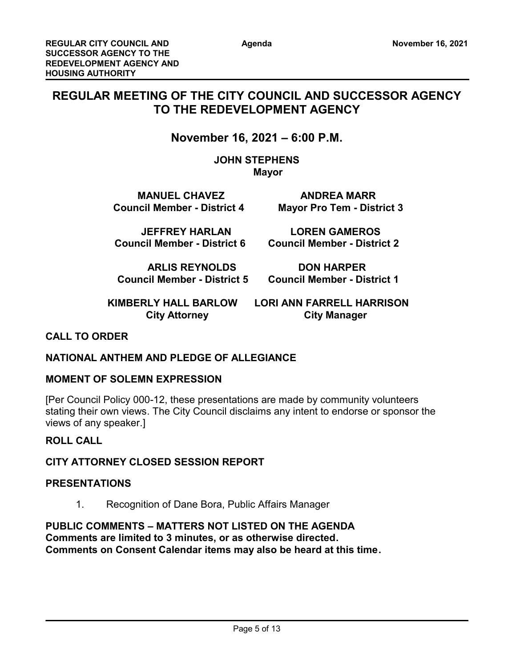## **REGULAR MEETING OF THE CITY COUNCIL AND SUCCESSOR AGENCY TO THE REDEVELOPMENT AGENCY**

## **November 16, 2021 – 6:00 P.M.**

**JOHN STEPHENS Mayor** 

**MANUEL CHAVEZ ANDREA MARR Council Member - District 4 Mayor Pro Tem - District 3**

 **JEFFREY HARLAN LOREN GAMEROS**

**Council Member - District 6 Council Member - District 2**

**ARLIS REYNOLDS DON HARPER**

 **Council Member - District 5 Council Member - District 1**

 **KIMBERLY HALL BARLOW LORI ANN FARRELL HARRISON City Attorney City Manager** 

## **CALL TO ORDER**

## **NATIONAL ANTHEM AND PLEDGE OF ALLEGIANCE**

## **MOMENT OF SOLEMN EXPRESSION**

[Per Council Policy 000-12, these presentations are made by community volunteers stating their own views. The City Council disclaims any intent to endorse or sponsor the views of any speaker.]

## **ROLL CALL**

## **CITY ATTORNEY CLOSED SESSION REPORT**

## **PRESENTATIONS**

1. Recognition of Dane Bora, Public Affairs Manager

**PUBLIC COMMENTS – MATTERS NOT LISTED ON THE AGENDA Comments are limited to 3 minutes, or as otherwise directed. Comments on Consent Calendar items may also be heard at this time.**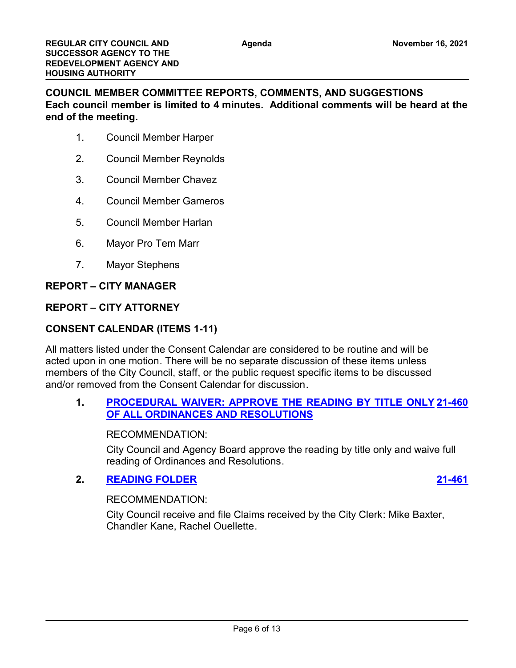**COUNCIL MEMBER COMMITTEE REPORTS, COMMENTS, AND SUGGESTIONS Each council member is limited to 4 minutes. Additional comments will be heard at the end of the meeting.**

- 1. Council Member Harper
- 2. Council Member Reynolds
- 3. Council Member Chavez
- 4. Council Member Gameros
- 5. Council Member Harlan
- 6. Mayor Pro Tem Marr
- 7. Mayor Stephens

#### **REPORT – CITY MANAGER**

## **REPORT – CITY ATTORNEY**

## **CONSENT CALENDAR (ITEMS 1-11)**

All matters listed under the Consent Calendar are considered to be routine and will be acted upon in one motion. There will be no separate discussion of these items unless members of the City Council, staff, or the public request specific items to be discussed and/or removed from the Consent Calendar for discussion.

## **1. [PROCEDURAL WAIVER: APPROVE THE READING BY TITLE ONLY](http://costamesa.legistar.com/gateway.aspx?m=l&id=/matter.aspx?key=1563) [21-460](http://costamesa.legistar.com/gateway.aspx?m=l&id=/matter.aspx?key=1563) OF ALL ORDINANCES AND RESOLUTIONS**

#### RECOMMENDATION:

City Council and Agency Board approve the reading by title only and waive full reading of Ordinances and Resolutions.

## **2. [READING FOLDER](http://costamesa.legistar.com/gateway.aspx?m=l&id=/matter.aspx?key=1564) [21-461](http://costamesa.legistar.com/gateway.aspx?m=l&id=/matter.aspx?key=1564)**

#### RECOMMENDATION:

City Council receive and file Claims received by the City Clerk: Mike Baxter, Chandler Kane, Rachel Ouellette.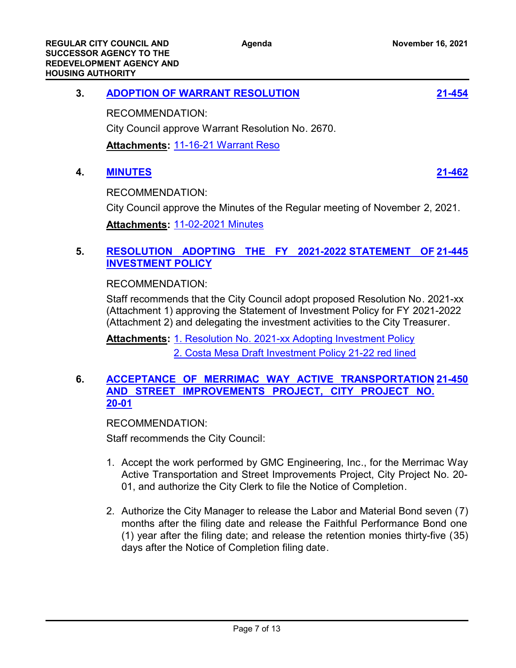| <b>ADOPTION OF WARRANT RESOLUTION</b> | $21 - 454$ |
|---------------------------------------|------------|
|                                       |            |

RECOMMENDATION:

City Council approve Warrant Resolution No. 2670.

**Attachments:** [11-16-21 Warrant Reso](http://costamesa.legistar.com/gateway.aspx?M=F&ID=7d799b66-cc25-4977-8704-21e000be7919.pdf)

## **4. [MINUTES](http://costamesa.legistar.com/gateway.aspx?m=l&id=/matter.aspx?key=1565) [21-462](http://costamesa.legistar.com/gateway.aspx?m=l&id=/matter.aspx?key=1565)**

RECOMMENDATION:

City Council approve the Minutes of the Regular meeting of November 2, 2021.

**Attachments:** [11-02-2021 Minutes](http://costamesa.legistar.com/gateway.aspx?M=F&ID=b47b538d-204b-4c83-929d-b2baa456fcc9.rtf)

## **5. [RESOLUTION ADOPTING THE FY 2021-2022 STATEMENT OF](http://costamesa.legistar.com/gateway.aspx?m=l&id=/matter.aspx?key=1548) [21-445](http://costamesa.legistar.com/gateway.aspx?m=l&id=/matter.aspx?key=1548) INVESTMENT POLICY**

RECOMMENDATION:

Staff recommends that the City Council adopt proposed Resolution No. 2021-xx (Attachment 1) approving the Statement of Investment Policy for FY 2021-2022 (Attachment 2) and delegating the investment activities to the City Treasurer.

Attachments: [1. Resolution No. 2021-xx Adopting Investment Policy](http://costamesa.legistar.com/gateway.aspx?M=F&ID=dbc4a8d9-16ec-4db6-9ece-8de4f47af4e0.docx) [2. Costa Mesa Draft Investment Policy 21-22 red lined](http://costamesa.legistar.com/gateway.aspx?M=F&ID=a25ae6f1-1c71-4b14-a9a3-da4695edc15f.pdf)

## **6. [ACCEPTANCE OF MERRIMAC WAY ACTIVE TRANSPORTATION](http://costamesa.legistar.com/gateway.aspx?m=l&id=/matter.aspx?key=1553) [21-450](http://costamesa.legistar.com/gateway.aspx?m=l&id=/matter.aspx?key=1553) AND STREET IMPROVEMENTS PROJECT, CITY PROJECT NO. 20-01**

RECOMMENDATION:

Staff recommends the City Council:

- 1. Accept the work performed by GMC Engineering, Inc., for the Merrimac Way Active Transportation and Street Improvements Project, City Project No. 20- 01, and authorize the City Clerk to file the Notice of Completion.
- 2. Authorize the City Manager to release the Labor and Material Bond seven (7) months after the filing date and release the Faithful Performance Bond one (1) year after the filing date; and release the retention monies thirty-five (35) days after the Notice of Completion filing date.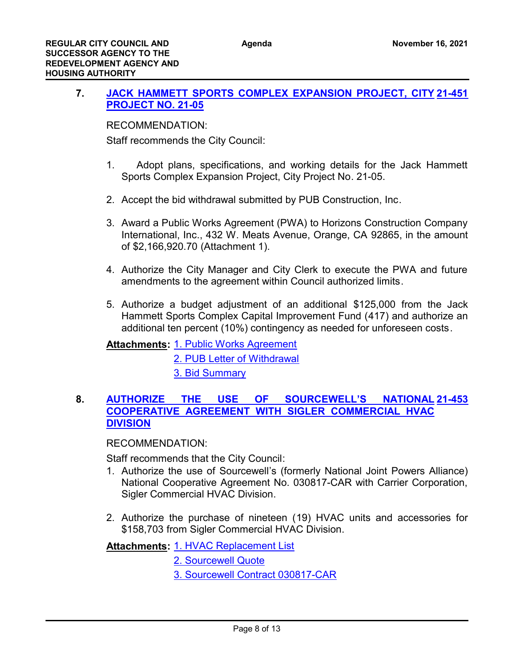## **7. [JACK HAMMETT SPORTS COMPLEX EXPANSION PROJECT, CITY](http://costamesa.legistar.com/gateway.aspx?m=l&id=/matter.aspx?key=1554) [21-451](http://costamesa.legistar.com/gateway.aspx?m=l&id=/matter.aspx?key=1554) PROJECT NO. 21-05**

RECOMMENDATION:

Staff recommends the City Council:

- 1. Adopt plans, specifications, and working details for the Jack Hammett Sports Complex Expansion Project, City Project No. 21-05.
- 2. Accept the bid withdrawal submitted by PUB Construction, Inc.
- 3. Award a Public Works Agreement (PWA) to Horizons Construction Company International, Inc., 432 W. Meats Avenue, Orange, CA 92865, in the amount of \$2,166,920.70 (Attachment 1).
- 4. Authorize the City Manager and City Clerk to execute the PWA and future amendments to the agreement within Council authorized limits.
- 5. Authorize a budget adjustment of an additional \$125,000 from the Jack Hammett Sports Complex Capital Improvement Fund (417) and authorize an additional ten percent (10%) contingency as needed for unforeseen costs.

**Attachments: [1. Public Works Agreement](http://costamesa.legistar.com/gateway.aspx?M=F&ID=dd410dcd-0607-4ae3-b0db-7fbaecb9b6aa.pdf)** 

[2. PUB Letter of Withdrawal](http://costamesa.legistar.com/gateway.aspx?M=F&ID=a592fcee-852c-4ae2-a04e-070d88159918.pdf) [3. Bid Summary](http://costamesa.legistar.com/gateway.aspx?M=F&ID=efea7dc6-6edd-4fff-b9b2-f15a9e675764.pdf)

#### 8. **AUTHORIZE THE USE OF SOURCEWELL'S COOPERATIVE AGREEMENT WITH SIGLER COMMERCIAL HVAC DIVISION [21-453](http://costamesa.legistar.com/gateway.aspx?m=l&id=/matter.aspx?key=1556)**

RECOMMENDATION:

Staff recommends that the City Council:

- 1. Authorize the use of Sourcewell's (formerly National Joint Powers Alliance) National Cooperative Agreement No. 030817-CAR with Carrier Corporation, Sigler Commercial HVAC Division.
- 2. Authorize the purchase of nineteen (19) HVAC units and accessories for \$158,703 from Sigler Commercial HVAC Division.

[1. HVAC Replacement List](http://costamesa.legistar.com/gateway.aspx?M=F&ID=aecac150-a9db-4a05-9376-628e28696a58.pdf) **Attachments:**

[2. Sourcewell Quote](http://costamesa.legistar.com/gateway.aspx?M=F&ID=60e9b34a-b1ea-405e-90eb-2cd6068be561.pdf)

[3. Sourcewell Contract 030817-CAR](http://costamesa.legistar.com/gateway.aspx?M=F&ID=1cb3f885-356e-41f8-8864-997984080b9b.pdf)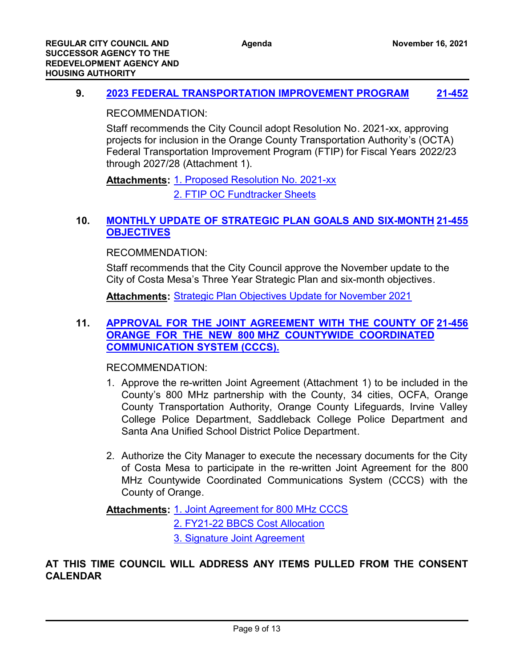## **9. [2023 FEDERAL TRANSPORTATION IMPROVEMENT PROGRAM](http://costamesa.legistar.com/gateway.aspx?m=l&id=/matter.aspx?key=1555) [21-452](http://costamesa.legistar.com/gateway.aspx?m=l&id=/matter.aspx?key=1555)**

RECOMMENDATION:

Staff recommends the City Council adopt Resolution No. 2021-xx, approving projects for inclusion in the Orange County Transportation Authority's (OCTA) Federal Transportation Improvement Program (FTIP) for Fiscal Years 2022/23 through 2027/28 (Attachment 1).

[1. Proposed Resolution No. 2021-xx](http://costamesa.legistar.com/gateway.aspx?M=F&ID=c2df18f2-c4ad-4441-b291-170de0ec4349.docx) **Attachments:** [2. FTIP OC Fundtracker Sheets](http://costamesa.legistar.com/gateway.aspx?M=F&ID=65531b4c-a1ff-450e-9630-291e14903f06.pdf)

## **10. [MONTHLY UPDATE OF STRATEGIC PLAN GOALS AND SIX-MONTH](http://costamesa.legistar.com/gateway.aspx?m=l&id=/matter.aspx?key=1558) [21-455](http://costamesa.legistar.com/gateway.aspx?m=l&id=/matter.aspx?key=1558) OBJECTIVES**

RECOMMENDATION:

Staff recommends that the City Council approve the November update to the City of Costa Mesa's Three Year Strategic Plan and six-month objectives.

**Attachments:** [Strategic Plan Objectives Update for November 2021](http://costamesa.legistar.com/gateway.aspx?M=F&ID=98955325-b938-439a-b283-c3bfe8650c99.doc)

## **11. [APPROVAL FOR THE JOINT AGREEMENT WITH THE COUNTY OF](http://costamesa.legistar.com/gateway.aspx?m=l&id=/matter.aspx?key=1559) [21-456](http://costamesa.legistar.com/gateway.aspx?m=l&id=/matter.aspx?key=1559) ORANGE FOR THE NEW 800 MHZ COUNTYWIDE COORDINATED COMMUNICATION SYSTEM (CCCS).**

RECOMMENDATION:

- 1. Approve the re-written Joint Agreement (Attachment 1) to be included in the County's 800 MHz partnership with the County, 34 cities, OCFA, Orange County Transportation Authority, Orange County Lifeguards, Irvine Valley College Police Department, Saddleback College Police Department and Santa Ana Unified School District Police Department.
- 2. Authorize the City Manager to execute the necessary documents for the City of Costa Mesa to participate in the re-written Joint Agreement for the 800 MHz Countywide Coordinated Communications System (CCCS) with the County of Orange.

Attachments: [1. Joint Agreement for 800 MHz CCCS](http://costamesa.legistar.com/gateway.aspx?M=F&ID=90f6b195-ac5e-42fe-b019-a695ec12b50d.pdf)

[2. FY21-22 BBCS Cost Allocation](http://costamesa.legistar.com/gateway.aspx?M=F&ID=d1761dbb-555a-450e-a5db-0f1b171223d2.pdf) [3. Signature Joint Agreement](http://costamesa.legistar.com/gateway.aspx?M=F&ID=86c94584-7cb9-4ebd-83d5-5d214f7b5e34.docx)

**AT THIS TIME COUNCIL WILL ADDRESS ANY ITEMS PULLED FROM THE CONSENT CALENDAR**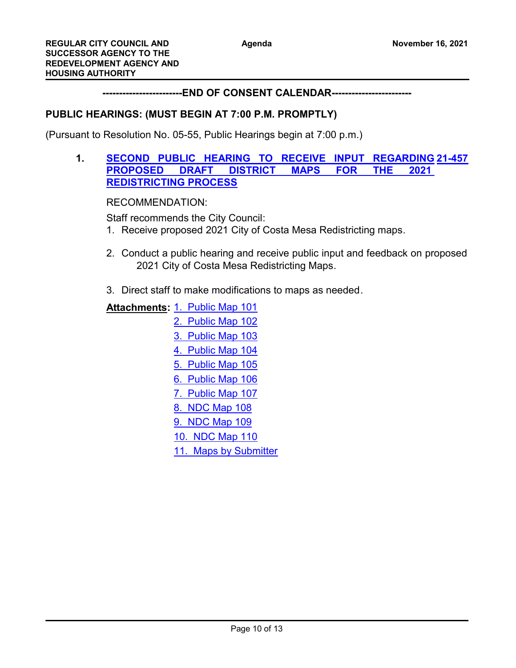**------------------------END OF CONSENT CALENDAR------------------------**

## **PUBLIC HEARINGS: (MUST BEGIN AT 7:00 P.M. PROMPTLY)**

(Pursuant to Resolution No. 05-55, Public Hearings begin at 7:00 p.m.)

## **1. [SECOND PUBLIC HEARING TO RECEIVE INPUT REGARDING](http://costamesa.legistar.com/gateway.aspx?m=l&id=/matter.aspx?key=1560) [21-457](http://costamesa.legistar.com/gateway.aspx?m=l&id=/matter.aspx?key=1560) PROPOSED DRAFT DISTRICT MAPS FOR THE 2021 REDISTRICTING PROCESS**

RECOMMENDATION:

Staff recommends the City Council:

- 1. Receive proposed 2021 City of Costa Mesa Redistricting maps.
- 2. Conduct a public hearing and receive public input and feedback on proposed 2021 City of Costa Mesa Redistricting Maps.
- 3. Direct staff to make modifications to maps as needed.

**Attachments: [1. Public Map 101](http://costamesa.legistar.com/gateway.aspx?M=F&ID=77be7d02-be16-4179-8f95-2fa23c11fb56.pdf)** [2. Public Map 102](http://costamesa.legistar.com/gateway.aspx?M=F&ID=fc5be6db-f1fb-4744-81bd-50d24ba988af.pdf) [3. Public Map 103](http://costamesa.legistar.com/gateway.aspx?M=F&ID=d06f3ca5-e39e-4d4a-b12b-5c57df09d45a.pdf) [4. Public Map 104](http://costamesa.legistar.com/gateway.aspx?M=F&ID=14b3b3dd-1055-459e-a7b5-a1753780a0ea.pdf) [5. Public Map 105](http://costamesa.legistar.com/gateway.aspx?M=F&ID=dc18f9a9-50f9-4611-a25c-1a2befb142f3.pdf) [6. Public Map 106](http://costamesa.legistar.com/gateway.aspx?M=F&ID=e103972b-4472-4f2f-b69e-37fe5e13aa6e.pdf) [7. Public Map 107](http://costamesa.legistar.com/gateway.aspx?M=F&ID=d2946c5e-1e5f-4334-8fd9-f5746dcb27c6.pdf) [8. NDC Map 108](http://costamesa.legistar.com/gateway.aspx?M=F&ID=61c271c1-dd8a-4a1f-a2a5-ded9bd738682.pdf) [9. NDC Map 109](http://costamesa.legistar.com/gateway.aspx?M=F&ID=1d96489d-a323-4546-963a-ab6d634bbd9d.pdf) [10. NDC Map 110](http://costamesa.legistar.com/gateway.aspx?M=F&ID=38c48d29-6484-4396-bbd9-86993d871333.pdf) [11. Maps by Submitter](http://costamesa.legistar.com/gateway.aspx?M=F&ID=765b3dfc-d832-4c44-ad22-4a76a2c4062e.pdf)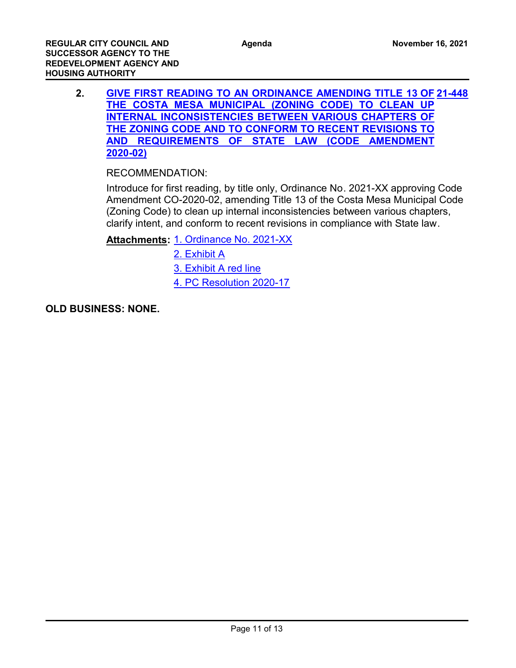**2. [GIVE FIRST READING TO AN ORDINANCE AMENDING TITLE 13 OF](http://costamesa.legistar.com/gateway.aspx?m=l&id=/matter.aspx?key=1551) [21-448](http://costamesa.legistar.com/gateway.aspx?m=l&id=/matter.aspx?key=1551) THE COSTA MESA MUNICIPAL (ZONING CODE) TO CLEAN UP INTERNAL INCONSISTENCIES BETWEEN VARIOUS CHAPTERS OF THE ZONING CODE AND TO CONFORM TO RECENT REVISIONS TO AND REQUIREMENTS OF STATE LAW (CODE AMENDMENT 2020-02)**

## RECOMMENDATION:

Introduce for first reading, by title only, Ordinance No. 2021-XX approving Code Amendment CO-2020-02, amending Title 13 of the Costa Mesa Municipal Code (Zoning Code) to clean up internal inconsistencies between various chapters, clarify intent, and conform to recent revisions in compliance with State law.

Attachments: [1. Ordinance No. 2021-XX](http://costamesa.legistar.com/gateway.aspx?M=F&ID=363fd9d0-f853-44db-b15b-268d49af5c32.docx)

- [2. Exhibit A](http://costamesa.legistar.com/gateway.aspx?M=F&ID=ab03decd-bca1-495e-82e8-f14aeddc30d4.pdf)
- [3. Exhibit A red line](http://costamesa.legistar.com/gateway.aspx?M=F&ID=8b8fcde7-1174-4c69-a089-149bc91eadd4.pdf)
- [4. PC Resolution 2020-17](http://costamesa.legistar.com/gateway.aspx?M=F&ID=4fe1e691-abaf-4003-b4f4-675dc0c1fa69.pdf)

**OLD BUSINESS: NONE.**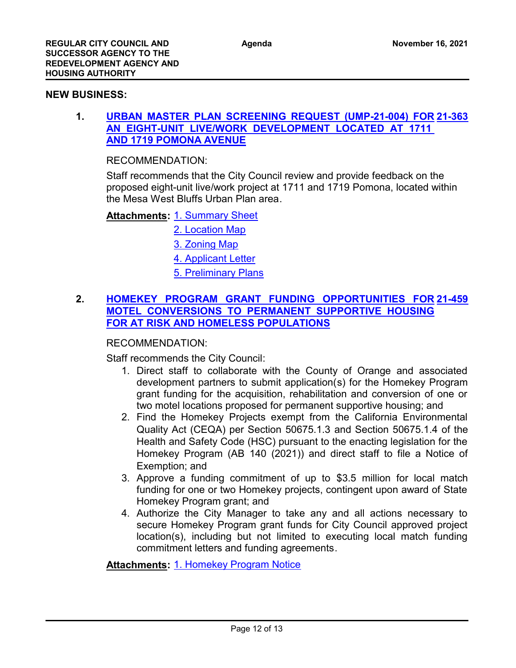#### **NEW BUSINESS:**

## **1. [URBAN MASTER PLAN SCREENING REQUEST \(UMP-21-004\) FOR](http://costamesa.legistar.com/gateway.aspx?m=l&id=/matter.aspx?key=1466) [21-363](http://costamesa.legistar.com/gateway.aspx?m=l&id=/matter.aspx?key=1466) AN EIGHT-UNIT LIVE/WORK DEVELOPMENT LOCATED AT 1711 AND 1719 POMONA AVENUE**

RECOMMENDATION:

Staff recommends that the City Council review and provide feedback on the proposed eight-unit live/work project at 1711 and 1719 Pomona, located within the Mesa West Bluffs Urban Plan area.

**Attachments: [1. Summary Sheet](http://costamesa.legistar.com/gateway.aspx?M=F&ID=cd30e7da-931f-49e5-8612-5839011e1f3d.docx)** 

[2. Location Map](http://costamesa.legistar.com/gateway.aspx?M=F&ID=bf23650e-103b-428f-8a3e-45b1f1376c35.pdf)

[3. Zoning Map](http://costamesa.legistar.com/gateway.aspx?M=F&ID=62b63f14-a168-4df8-82c2-402d7d6549d7.pdf)

[4. Applicant Letter](http://costamesa.legistar.com/gateway.aspx?M=F&ID=59fe8663-e7ed-4d3d-a0d9-47cb162885c1.docx)

[5. Preliminary Plans](http://costamesa.legistar.com/gateway.aspx?M=F&ID=b154e454-8bdc-4bd6-a99c-0b34f523e8bd.pdf)

## **2. [HOMEKEY PROGRAM GRANT FUNDING OPPORTUNITIES FOR](http://costamesa.legistar.com/gateway.aspx?m=l&id=/matter.aspx?key=1562) [21-459](http://costamesa.legistar.com/gateway.aspx?m=l&id=/matter.aspx?key=1562) MOTEL CONVERSIONS TO PERMANENT SUPPORTIVE HOUSING FOR AT RISK AND HOMELESS POPULATIONS**

## RECOMMENDATION:

Staff recommends the City Council:

- 1. Direct staff to collaborate with the County of Orange and associated development partners to submit application(s) for the Homekey Program grant funding for the acquisition, rehabilitation and conversion of one or two motel locations proposed for permanent supportive housing; and
- 2. Find the Homekey Projects exempt from the California Environmental Quality Act (CEQA) per Section 50675.1.3 and Section 50675.1.4 of the Health and Safety Code (HSC) pursuant to the enacting legislation for the Homekey Program (AB 140 (2021)) and direct staff to file a Notice of Exemption; and
- 3. Approve a funding commitment of up to \$3.5 million for local match funding for one or two Homekey projects, contingent upon award of State Homekey Program grant; and
- 4. Authorize the City Manager to take any and all actions necessary to secure Homekey Program grant funds for City Council approved project location(s), including but not limited to executing local match funding commitment letters and funding agreements.

**Attachments: [1. Homekey Program Notice](http://costamesa.legistar.com/gateway.aspx?M=F&ID=75b67ede-1558-4fbe-bdd1-ff2ee74bf1c4.pdf)**